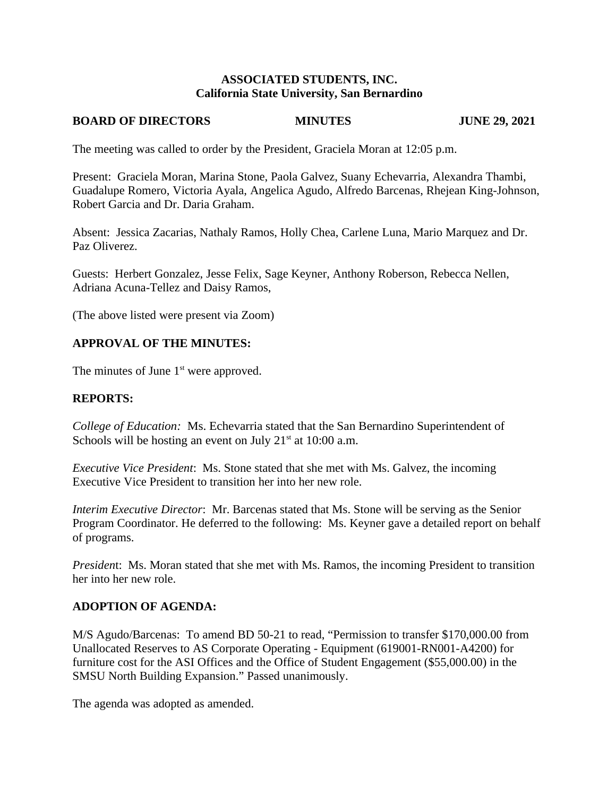## **ASSOCIATED STUDENTS, INC.** California State University, San Bernardino

#### **BOARD OF DIRECTORS MINUTES**

**JUNE 29, 2021** 

The meeting was called to order by the President, Graciela Moran at 12:05 p.m.

Present: Graciela Moran, Marina Stone, Paola Galvez, Suany Echevarria, Alexandra Thambi, Guadalupe Romero, Victoria Ayala, Angelica Agudo, Alfredo Barcenas, Rhejean King-Johnson, Robert Garcia and Dr. Daria Graham.

Absent: Jessica Zacarias, Nathaly Ramos, Holly Chea, Carlene Luna, Mario Marquez and Dr. Paz Oliverez.

Guests: Herbert Gonzalez, Jesse Felix, Sage Keyner, Anthony Roberson, Rebecca Nellen, Adriana Acuna-Tellez and Daisy Ramos,

(The above listed were present via Zoom)

# **APPROVAL OF THE MINUTES:**

The minutes of June 1<sup>st</sup> were approved.

# **REPORTS:**

College of Education: Ms. Echevarria stated that the San Bernardino Superintendent of Schools will be hosting an event on July  $21<sup>st</sup>$  at 10:00 a.m.

Executive Vice President: Ms. Stone stated that she met with Ms. Galvez, the incoming Executive Vice President to transition her into her new role.

Interim Executive Director: Mr. Barcenas stated that Ms. Stone will be serving as the Senior Program Coordinator. He deferred to the following: Ms. Keyner gave a detailed report on behalf of programs.

President: Ms. Moran stated that she met with Ms. Ramos, the incoming President to transition her into her new role.

# **ADOPTION OF AGENDA:**

M/S Agudo/Barcenas: To amend BD 50-21 to read, "Permission to transfer \$170,000.00 from Unallocated Reserves to AS Corporate Operating - Equipment (619001-RN001-A4200) for furniture cost for the ASI Offices and the Office of Student Engagement (\$55,000.00) in the SMSU North Building Expansion." Passed unanimously.

The agenda was adopted as amended.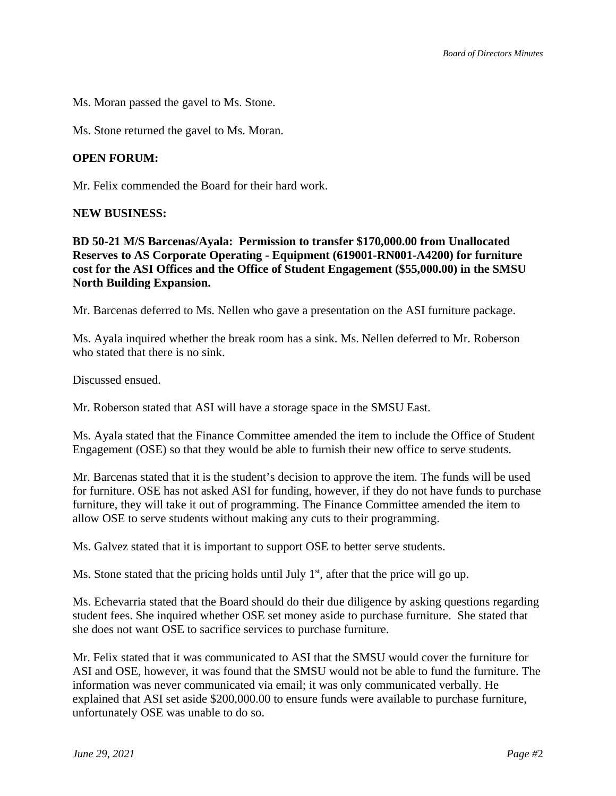Ms. Moran passed the gavel to Ms. Stone.

Ms. Stone returned the gavel to Ms. Moran.

## **OPEN FORUM:**

Mr. Felix commended the Board for their hard work.

### **NEW BUSINESS:**

BD 50-21 M/S Barcenas/Ayala: Permission to transfer \$170,000.00 from Unallocated Reserves to AS Corporate Operating - Equipment (619001-RN001-A4200) for furniture cost for the ASI Offices and the Office of Student Engagement (\$55,000.00) in the SMSU **North Building Expansion.** 

Mr. Barcenas deferred to Ms. Nellen who gave a presentation on the ASI furniture package.

Ms. Ayala inquired whether the break room has a sink. Ms. Nellen deferred to Mr. Roberson who stated that there is no sink.

Discussed ensued.

Mr. Roberson stated that ASI will have a storage space in the SMSU East.

Ms. Ayala stated that the Finance Committee amended the item to include the Office of Student Engagement (OSE) so that they would be able to furnish their new office to serve students.

Mr. Barcenas stated that it is the student's decision to approve the item. The funds will be used for furniture. OSE has not asked ASI for funding, however, if they do not have funds to purchase furniture, they will take it out of programming. The Finance Committee amended the item to allow OSE to serve students without making any cuts to their programming.

Ms. Galvez stated that it is important to support OSE to better serve students.

Ms. Stone stated that the pricing holds until July  $1<sup>st</sup>$ , after that the price will go up.

Ms. Echevarria stated that the Board should do their due diligence by asking questions regarding student fees. She inquired whether OSE set money aside to purchase furniture. She stated that she does not want OSE to sacrifice services to purchase furniture.

Mr. Felix stated that it was communicated to ASI that the SMSU would cover the furniture for ASI and OSE, however, it was found that the SMSU would not be able to fund the furniture. The information was never communicated via email; it was only communicated verbally. He explained that ASI set aside \$200,000.00 to ensure funds were available to purchase furniture, unfortunately OSE was unable to do so.